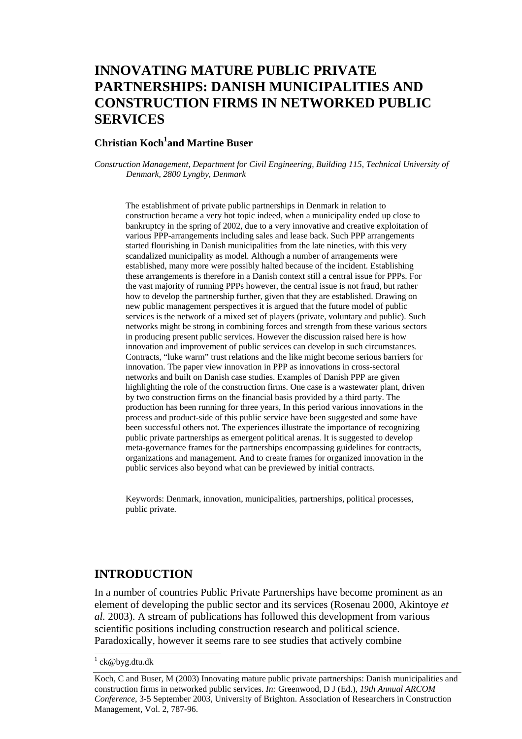## **INNOVATING MATURE PUBLIC PRIVATE PARTNERSHIPS: DANISH MUNICIPALITIES AND CONSTRUCTION FIRMS IN NETWORKED PUBLIC SERVICES**

#### **Christian Koch<sup>1</sup>and Martine Buser**

*Construction Management, Department for Civil Engineering, Building 115, Technical University of Denmark, 2800 Lyngby, Denmark* 

The establishment of private public partnerships in Denmark in relation to construction became a very hot topic indeed, when a municipality ended up close to bankruptcy in the spring of 2002, due to a very innovative and creative exploitation of various PPP-arrangements including sales and lease back. Such PPP arrangements started flourishing in Danish municipalities from the late nineties, with this very scandalized municipality as model. Although a number of arrangements were established, many more were possibly halted because of the incident. Establishing these arrangements is therefore in a Danish context still a central issue for PPPs. For the vast majority of running PPPs however, the central issue is not fraud, but rather how to develop the partnership further, given that they are established. Drawing on new public management perspectives it is argued that the future model of public services is the network of a mixed set of players (private, voluntary and public). Such networks might be strong in combining forces and strength from these various sectors in producing present public services. However the discussion raised here is how innovation and improvement of public services can develop in such circumstances. Contracts, "luke warm" trust relations and the like might become serious barriers for innovation. The paper view innovation in PPP as innovations in cross-sectoral networks and built on Danish case studies. Examples of Danish PPP are given highlighting the role of the construction firms. One case is a wastewater plant, driven by two construction firms on the financial basis provided by a third party. The production has been running for three years, In this period various innovations in the process and product-side of this public service have been suggested and some have been successful others not. The experiences illustrate the importance of recognizing public private partnerships as emergent political arenas. It is suggested to develop meta-governance frames for the partnerships encompassing guidelines for contracts, organizations and management. And to create frames for organized innovation in the public services also beyond what can be previewed by initial contracts.

Keywords: Denmark, innovation, municipalities, partnerships, political processes, public private.

#### **INTRODUCTION**

In a number of countries Public Private Partnerships have become prominent as an element of developing the public sector and its services (Rosenau 2000, Akintoye *et al.* 2003). A stream of publications has followed this development from various scientific positions including construction research and political science. Paradoxically, however it seems rare to see studies that actively combine

l

<sup>&</sup>lt;sup>1</sup> ck@byg.dtu.dk

Koch, C and Buser, M (2003) Innovating mature public private partnerships: Danish municipalities and construction firms in networked public services. *In:* Greenwood, D J (Ed.), *19th Annual ARCOM Conference*, 3-5 September 2003, University of Brighton. Association of Researchers in Construction Management, Vol. 2, 787-96.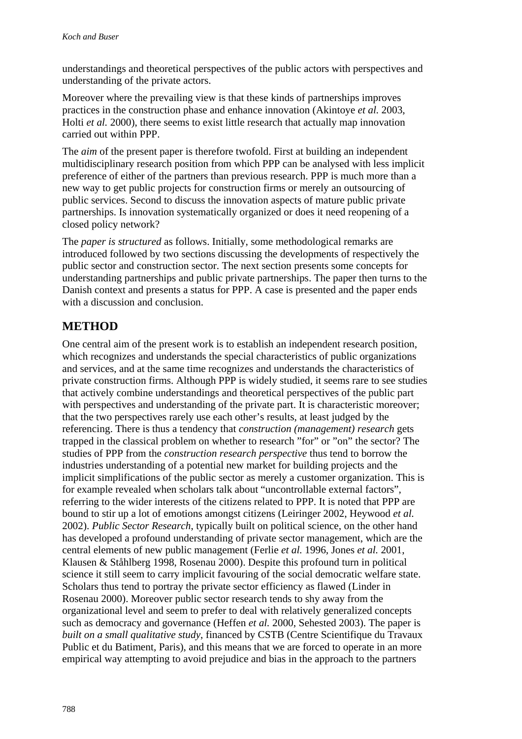understandings and theoretical perspectives of the public actors with perspectives and understanding of the private actors.

Moreover where the prevailing view is that these kinds of partnerships improves practices in the construction phase and enhance innovation (Akintoye *et al.* 2003, Holti *et al.* 2000), there seems to exist little research that actually map innovation carried out within PPP.

The *aim* of the present paper is therefore twofold. First at building an independent multidisciplinary research position from which PPP can be analysed with less implicit preference of either of the partners than previous research. PPP is much more than a new way to get public projects for construction firms or merely an outsourcing of public services. Second to discuss the innovation aspects of mature public private partnerships. Is innovation systematically organized or does it need reopening of a closed policy network?

The *paper is structured* as follows. Initially, some methodological remarks are introduced followed by two sections discussing the developments of respectively the public sector and construction sector. The next section presents some concepts for understanding partnerships and public private partnerships. The paper then turns to the Danish context and presents a status for PPP. A case is presented and the paper ends with a discussion and conclusion.

### **METHOD**

One central aim of the present work is to establish an independent research position, which recognizes and understands the special characteristics of public organizations and services, and at the same time recognizes and understands the characteristics of private construction firms. Although PPP is widely studied, it seems rare to see studies that actively combine understandings and theoretical perspectives of the public part with perspectives and understanding of the private part. It is characteristic moreover; that the two perspectives rarely use each other's results, at least judged by the referencing. There is thus a tendency that *construction (management) research* gets trapped in the classical problem on whether to research "for" or "on" the sector? The studies of PPP from the *construction research perspective* thus tend to borrow the industries understanding of a potential new market for building projects and the implicit simplifications of the public sector as merely a customer organization. This is for example revealed when scholars talk about "uncontrollable external factors", referring to the wider interests of the citizens related to PPP. It is noted that PPP are bound to stir up a lot of emotions amongst citizens (Leiringer 2002, Heywood *et al.* 2002). *Public Sector Research*, typically built on political science, on the other hand has developed a profound understanding of private sector management, which are the central elements of new public management (Ferlie *et al.* 1996, Jones *et al.* 2001, Klausen & Ståhlberg 1998, Rosenau 2000). Despite this profound turn in political science it still seem to carry implicit favouring of the social democratic welfare state. Scholars thus tend to portray the private sector efficiency as flawed (Linder in Rosenau 2000). Moreover public sector research tends to shy away from the organizational level and seem to prefer to deal with relatively generalized concepts such as democracy and governance (Heffen *et al.* 2000, Sehested 2003). The paper is *built on a small qualitative study*, financed by CSTB (Centre Scientifique du Travaux Public et du Batiment, Paris), and this means that we are forced to operate in an more empirical way attempting to avoid prejudice and bias in the approach to the partners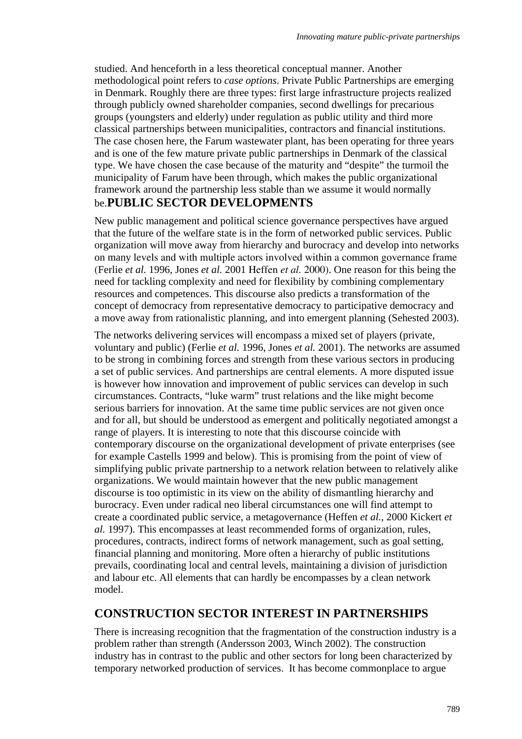studied. And henceforth in a less theoretical conceptual manner. Another methodological point refers to *case options*. Private Public Partnerships are emerging in Denmark. Roughly there are three types: first large infrastructure projects realized through publicly owned shareholder companies, second dwellings for precarious groups (youngsters and elderly) under regulation as public utility and third more classical partnerships between municipalities, contractors and financial institutions. The case chosen here, the Farum wastewater plant, has been operating for three years and is one of the few mature private public partnerships in Denmark of the classical type. We have chosen the case because of the maturity and "despite" the turmoil the municipality of Farum have been through, which makes the public organizational framework around the partnership less stable than we assume it would normally be.**PUBLIC SECTOR DEVELOPMENTS** 

New public management and political science governance perspectives have argued that the future of the welfare state is in the form of networked public services. Public organization will move away from hierarchy and burocracy and develop into networks on many levels and with multiple actors involved within a common governance frame (Ferlie *et al.* 1996, Jones *et al.* 2001 Heffen *et al.* 2000). One reason for this being the need for tackling complexity and need for flexibility by combining complementary resources and competences. This discourse also predicts a transformation of the concept of democracy from representative democracy to participative democracy and a move away from rationalistic planning, and into emergent planning (Sehested 2003).

The networks delivering services will encompass a mixed set of players (private, voluntary and public) (Ferlie *et al.* 1996, Jones *et al.* 2001). The networks are assumed to be strong in combining forces and strength from these various sectors in producing a set of public services. And partnerships are central elements. A more disputed issue is however how innovation and improvement of public services can develop in such circumstances. Contracts, "luke warm" trust relations and the like might become serious barriers for innovation. At the same time public services are not given once and for all, but should be understood as emergent and politically negotiated amongst a range of players. It is interesting to note that this discourse coincide with contemporary discourse on the organizational development of private enterprises (see for example Castells 1999 and below). This is promising from the point of view of simplifying public private partnership to a network relation between to relatively alike organizations. We would maintain however that the new public management discourse is too optimistic in its view on the ability of dismantling hierarchy and burocracy. Even under radical neo liberal circumstances one will find attempt to create a coordinated public service, a metagovernance (Heffen *et al.*, 2000 Kickert *et al.* 1997). This encompasses at least recommended forms of organization, rules, procedures, contracts, indirect forms of network management, such as goal setting, financial planning and monitoring. More often a hierarchy of public institutions prevails, coordinating local and central levels, maintaining a division of jurisdiction and labour etc. All elements that can hardly be encompasses by a clean network model.

#### **CONSTRUCTION SECTOR INTEREST IN PARTNERSHIPS**

There is increasing recognition that the fragmentation of the construction industry is a problem rather than strength (Andersson 2003, Winch 2002). The construction industry has in contrast to the public and other sectors for long been characterized by temporary networked production of services. It has become commonplace to argue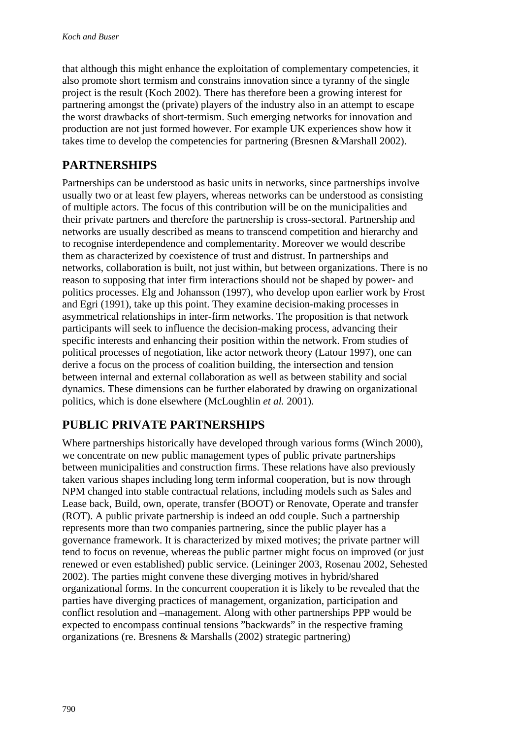that although this might enhance the exploitation of complementary competencies, it also promote short termism and constrains innovation since a tyranny of the single project is the result (Koch 2002). There has therefore been a growing interest for partnering amongst the (private) players of the industry also in an attempt to escape the worst drawbacks of short-termism. Such emerging networks for innovation and production are not just formed however. For example UK experiences show how it takes time to develop the competencies for partnering (Bresnen &Marshall 2002).

### **PARTNERSHIPS**

Partnerships can be understood as basic units in networks, since partnerships involve usually two or at least few players, whereas networks can be understood as consisting of multiple actors. The focus of this contribution will be on the municipalities and their private partners and therefore the partnership is cross-sectoral. Partnership and networks are usually described as means to transcend competition and hierarchy and to recognise interdependence and complementarity. Moreover we would describe them as characterized by coexistence of trust and distrust. In partnerships and networks, collaboration is built, not just within, but between organizations. There is no reason to supposing that inter firm interactions should not be shaped by power- and politics processes. Elg and Johansson (1997), who develop upon earlier work by Frost and Egri (1991), take up this point. They examine decision-making processes in asymmetrical relationships in inter-firm networks. The proposition is that network participants will seek to influence the decision-making process, advancing their specific interests and enhancing their position within the network. From studies of political processes of negotiation, like actor network theory (Latour 1997), one can derive a focus on the process of coalition building, the intersection and tension between internal and external collaboration as well as between stability and social dynamics. These dimensions can be further elaborated by drawing on organizational politics, which is done elsewhere (McLoughlin *et al.* 2001).

## **PUBLIC PRIVATE PARTNERSHIPS**

Where partnerships historically have developed through various forms (Winch 2000), we concentrate on new public management types of public private partnerships between municipalities and construction firms. These relations have also previously taken various shapes including long term informal cooperation, but is now through NPM changed into stable contractual relations, including models such as Sales and Lease back, Build, own, operate, transfer (BOOT) or Renovate, Operate and transfer (ROT). A public private partnership is indeed an odd couple. Such a partnership represents more than two companies partnering, since the public player has a governance framework. It is characterized by mixed motives; the private partner will tend to focus on revenue, whereas the public partner might focus on improved (or just renewed or even established) public service. (Leininger 2003, Rosenau 2002, Sehested 2002). The parties might convene these diverging motives in hybrid/shared organizational forms. In the concurrent cooperation it is likely to be revealed that the parties have diverging practices of management, organization, participation and conflict resolution and –management. Along with other partnerships PPP would be expected to encompass continual tensions "backwards" in the respective framing organizations (re. Bresnens & Marshalls (2002) strategic partnering)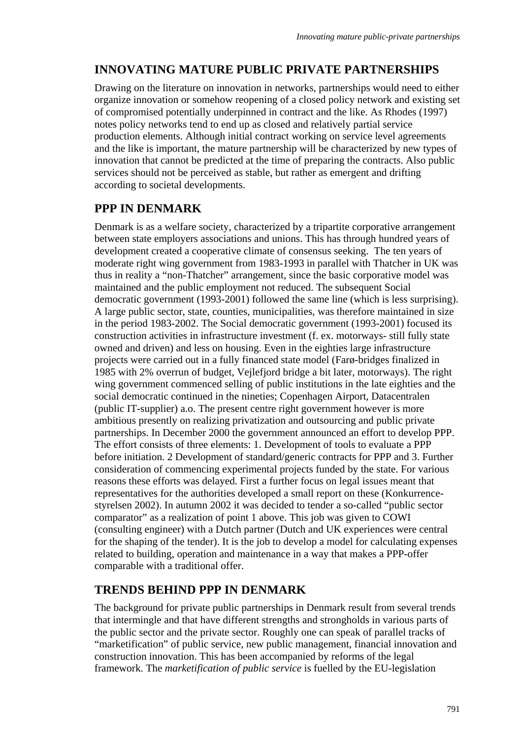### **INNOVATING MATURE PUBLIC PRIVATE PARTNERSHIPS**

Drawing on the literature on innovation in networks, partnerships would need to either organize innovation or somehow reopening of a closed policy network and existing set of compromised potentially underpinned in contract and the like. As Rhodes (1997) notes policy networks tend to end up as closed and relatively partial service production elements. Although initial contract working on service level agreements and the like is important, the mature partnership will be characterized by new types of innovation that cannot be predicted at the time of preparing the contracts. Also public services should not be perceived as stable, but rather as emergent and drifting according to societal developments.

## **PPP IN DENMARK**

Denmark is as a welfare society, characterized by a tripartite corporative arrangement between state employers associations and unions. This has through hundred years of development created a cooperative climate of consensus seeking. The ten years of moderate right wing government from 1983-1993 in parallel with Thatcher in UK was thus in reality a "non-Thatcher" arrangement, since the basic corporative model was maintained and the public employment not reduced. The subsequent Social democratic government (1993-2001) followed the same line (which is less surprising). A large public sector, state, counties, municipalities, was therefore maintained in size in the period 1983-2002. The Social democratic government (1993-2001) focused its construction activities in infrastructure investment (f. ex. motorways- still fully state owned and driven) and less on housing. Even in the eighties large infrastructure projects were carried out in a fully financed state model (Farø-bridges finalized in 1985 with 2% overrun of budget, Vejlefjord bridge a bit later, motorways). The right wing government commenced selling of public institutions in the late eighties and the social democratic continued in the nineties; Copenhagen Airport, Datacentralen (public IT-supplier) a.o. The present centre right government however is more ambitious presently on realizing privatization and outsourcing and public private partnerships. In December 2000 the government announced an effort to develop PPP. The effort consists of three elements: 1. Development of tools to evaluate a PPP before initiation. 2 Development of standard/generic contracts for PPP and 3. Further consideration of commencing experimental projects funded by the state. For various reasons these efforts was delayed. First a further focus on legal issues meant that representatives for the authorities developed a small report on these (Konkurrencestyrelsen 2002). In autumn 2002 it was decided to tender a so-called "public sector comparator" as a realization of point 1 above. This job was given to COWI (consulting engineer) with a Dutch partner (Dutch and UK experiences were central for the shaping of the tender). It is the job to develop a model for calculating expenses related to building, operation and maintenance in a way that makes a PPP-offer comparable with a traditional offer.

# **TRENDS BEHIND PPP IN DENMARK**

The background for private public partnerships in Denmark result from several trends that intermingle and that have different strengths and strongholds in various parts of the public sector and the private sector. Roughly one can speak of parallel tracks of "marketification" of public service, new public management, financial innovation and construction innovation. This has been accompanied by reforms of the legal framework. The *marketification of public service* is fuelled by the EU-legislation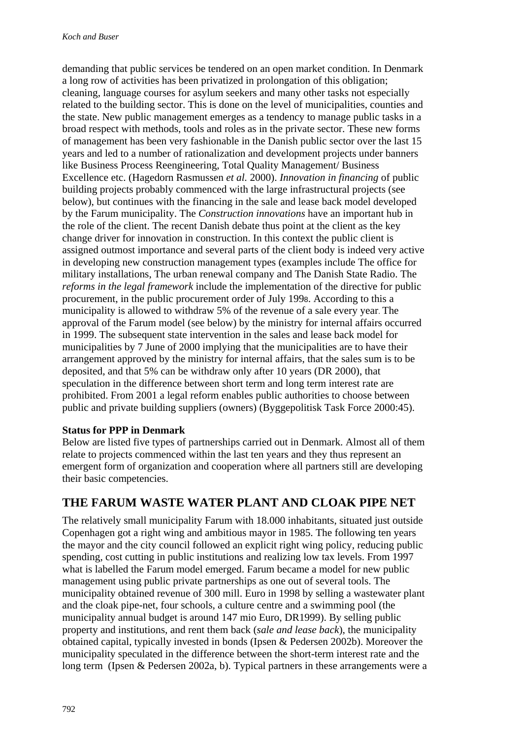demanding that public services be tendered on an open market condition. In Denmark a long row of activities has been privatized in prolongation of this obligation; cleaning, language courses for asylum seekers and many other tasks not especially related to the building sector. This is done on the level of municipalities, counties and the state. New public management emerges as a tendency to manage public tasks in a broad respect with methods, tools and roles as in the private sector. These new forms of management has been very fashionable in the Danish public sector over the last 15 years and led to a number of rationalization and development projects under banners like Business Process Reengineering, Total Quality Management/ Business Excellence etc. (Hagedorn Rasmussen *et al.* 2000). *Innovation in financing* of public building projects probably commenced with the large infrastructural projects (see below), but continues with the financing in the sale and lease back model developed by the Farum municipality. The *Construction innovations* have an important hub in the role of the client. The recent Danish debate thus point at the client as the key change driver for innovation in construction. In this context the public client is assigned outmost importance and several parts of the client body is indeed very active in developing new construction management types (examples include The office for military installations, The urban renewal company and The Danish State Radio. The *reforms in the legal framework* include the implementation of the directive for public procurement, in the public procurement order of July 1998. According to this a municipality is allowed to withdraw 5% of the revenue of a sale every year. The approval of the Farum model (see below) by the ministry for internal affairs occurred in 1999. The subsequent state intervention in the sales and lease back model for municipalities by 7 June of 2000 implying that the municipalities are to have their arrangement approved by the ministry for internal affairs, that the sales sum is to be deposited, and that 5% can be withdraw only after 10 years (DR 2000), that speculation in the difference between short term and long term interest rate are prohibited. From 2001 a legal reform enables public authorities to choose between public and private building suppliers (owners) (Byggepolitisk Task Force 2000:45).

#### **Status for PPP in Denmark**

Below are listed five types of partnerships carried out in Denmark. Almost all of them relate to projects commenced within the last ten years and they thus represent an emergent form of organization and cooperation where all partners still are developing their basic competencies.

### **THE FARUM WASTE WATER PLANT AND CLOAK PIPE NET**

The relatively small municipality Farum with 18.000 inhabitants, situated just outside Copenhagen got a right wing and ambitious mayor in 1985. The following ten years the mayor and the city council followed an explicit right wing policy, reducing public spending, cost cutting in public institutions and realizing low tax levels. From 1997 what is labelled the Farum model emerged. Farum became a model for new public management using public private partnerships as one out of several tools. The municipality obtained revenue of 300 mill. Euro in 1998 by selling a wastewater plant and the cloak pipe-net, four schools, a culture centre and a swimming pool (the municipality annual budget is around 147 mio Euro, DR1999). By selling public property and institutions, and rent them back (*sale and lease back*), the municipality obtained capital, typically invested in bonds (Ipsen & Pedersen 2002b). Moreover the municipality speculated in the difference between the short-term interest rate and the long term (Ipsen & Pedersen 2002a, b). Typical partners in these arrangements were a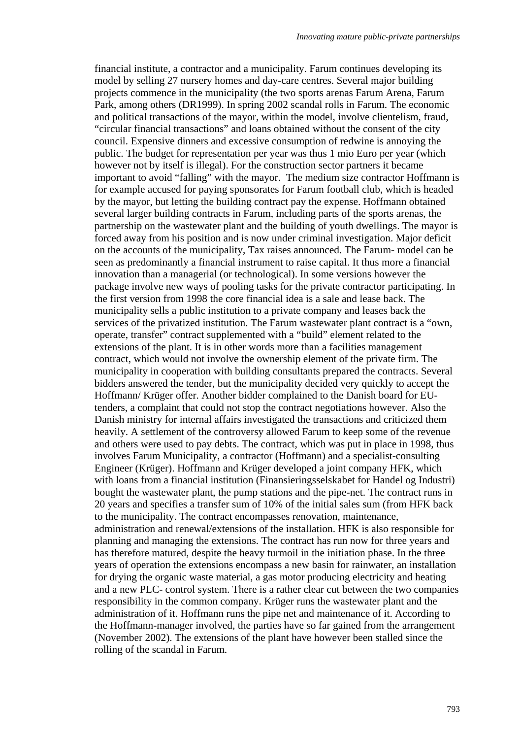financial institute, a contractor and a municipality. Farum continues developing its model by selling 27 nursery homes and day-care centres. Several major building projects commence in the municipality (the two sports arenas Farum Arena, Farum Park, among others (DR1999). In spring 2002 scandal rolls in Farum. The economic and political transactions of the mayor, within the model, involve clientelism, fraud, "circular financial transactions" and loans obtained without the consent of the city council. Expensive dinners and excessive consumption of redwine is annoying the public. The budget for representation per year was thus 1 mio Euro per year (which however not by itself is illegal). For the construction sector partners it became important to avoid "falling" with the mayor. The medium size contractor Hoffmann is for example accused for paying sponsorates for Farum football club, which is headed by the mayor, but letting the building contract pay the expense. Hoffmann obtained several larger building contracts in Farum, including parts of the sports arenas, the partnership on the wastewater plant and the building of youth dwellings. The mayor is forced away from his position and is now under criminal investigation. Major deficit on the accounts of the municipality, Tax raises announced. The Farum- model can be seen as predominantly a financial instrument to raise capital. It thus more a financial innovation than a managerial (or technological). In some versions however the package involve new ways of pooling tasks for the private contractor participating. In the first version from 1998 the core financial idea is a sale and lease back. The municipality sells a public institution to a private company and leases back the services of the privatized institution. The Farum wastewater plant contract is a "own, operate, transfer" contract supplemented with a "build" element related to the extensions of the plant. It is in other words more than a facilities management contract, which would not involve the ownership element of the private firm. The municipality in cooperation with building consultants prepared the contracts. Several bidders answered the tender, but the municipality decided very quickly to accept the Hoffmann/ Krüger offer. Another bidder complained to the Danish board for EUtenders, a complaint that could not stop the contract negotiations however. Also the Danish ministry for internal affairs investigated the transactions and criticized them heavily. A settlement of the controversy allowed Farum to keep some of the revenue and others were used to pay debts. The contract, which was put in place in 1998, thus involves Farum Municipality, a contractor (Hoffmann) and a specialist-consulting Engineer (Krüger). Hoffmann and Krüger developed a joint company HFK, which with loans from a financial institution (Finansieringsselskabet for Handel og Industri) bought the wastewater plant, the pump stations and the pipe-net. The contract runs in 20 years and specifies a transfer sum of 10% of the initial sales sum (from HFK back to the municipality. The contract encompasses renovation, maintenance, administration and renewal/extensions of the installation. HFK is also responsible for planning and managing the extensions. The contract has run now for three years and has therefore matured, despite the heavy turmoil in the initiation phase. In the three years of operation the extensions encompass a new basin for rainwater, an installation for drying the organic waste material, a gas motor producing electricity and heating and a new PLC- control system. There is a rather clear cut between the two companies responsibility in the common company. Krüger runs the wastewater plant and the administration of it. Hoffmann runs the pipe net and maintenance of it. According to the Hoffmann-manager involved, the parties have so far gained from the arrangement (November 2002). The extensions of the plant have however been stalled since the rolling of the scandal in Farum.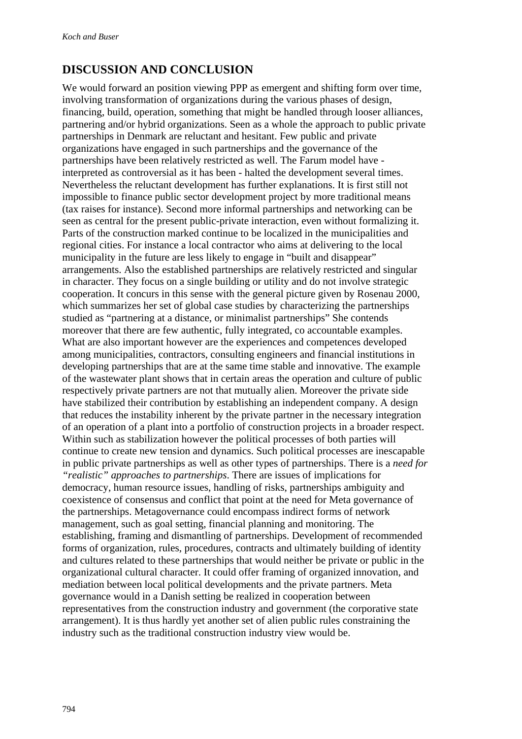### **DISCUSSION AND CONCLUSION**

We would forward an position viewing PPP as emergent and shifting form over time, involving transformation of organizations during the various phases of design, financing, build, operation, something that might be handled through looser alliances, partnering and/or hybrid organizations. Seen as a whole the approach to public private partnerships in Denmark are reluctant and hesitant. Few public and private organizations have engaged in such partnerships and the governance of the partnerships have been relatively restricted as well. The Farum model have interpreted as controversial as it has been - halted the development several times. Nevertheless the reluctant development has further explanations. It is first still not impossible to finance public sector development project by more traditional means (tax raises for instance). Second more informal partnerships and networking can be seen as central for the present public-private interaction, even without formalizing it. Parts of the construction marked continue to be localized in the municipalities and regional cities. For instance a local contractor who aims at delivering to the local municipality in the future are less likely to engage in "built and disappear" arrangements. Also the established partnerships are relatively restricted and singular in character. They focus on a single building or utility and do not involve strategic cooperation. It concurs in this sense with the general picture given by Rosenau 2000, which summarizes her set of global case studies by characterizing the partnerships studied as "partnering at a distance, or minimalist partnerships" She contends moreover that there are few authentic, fully integrated, co accountable examples. What are also important however are the experiences and competences developed among municipalities, contractors, consulting engineers and financial institutions in developing partnerships that are at the same time stable and innovative. The example of the wastewater plant shows that in certain areas the operation and culture of public respectively private partners are not that mutually alien. Moreover the private side have stabilized their contribution by establishing an independent company. A design that reduces the instability inherent by the private partner in the necessary integration of an operation of a plant into a portfolio of construction projects in a broader respect. Within such as stabilization however the political processes of both parties will continue to create new tension and dynamics. Such political processes are inescapable in public private partnerships as well as other types of partnerships. There is a *need for "realistic" approaches to partnerships*. There are issues of implications for democracy, human resource issues, handling of risks, partnerships ambiguity and coexistence of consensus and conflict that point at the need for Meta governance of the partnerships. Metagovernance could encompass indirect forms of network management, such as goal setting, financial planning and monitoring. The establishing, framing and dismantling of partnerships. Development of recommended forms of organization, rules, procedures, contracts and ultimately building of identity and cultures related to these partnerships that would neither be private or public in the organizational cultural character. It could offer framing of organized innovation, and mediation between local political developments and the private partners. Meta governance would in a Danish setting be realized in cooperation between representatives from the construction industry and government (the corporative state arrangement). It is thus hardly yet another set of alien public rules constraining the industry such as the traditional construction industry view would be.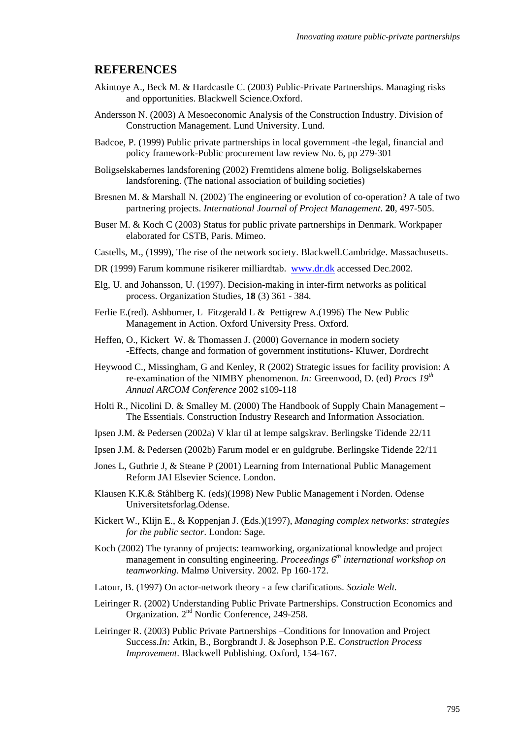#### **REFERENCES**

- Akintoye A., Beck M. & Hardcastle C. (2003) Public-Private Partnerships. Managing risks and opportunities. Blackwell Science.Oxford.
- Andersson N. (2003) A Mesoeconomic Analysis of the Construction Industry. Division of Construction Management. Lund University. Lund.
- Badcoe, P. (1999) Public private partnerships in local government -the legal, financial and policy framework-Public procurement law review No. 6, pp 279-301
- Boligselskabernes landsforening (2002) Fremtidens almene bolig. Boligselskabernes landsforening. (The national association of building societies)
- Bresnen M. & Marshall N. (2002) The engineering or evolution of co-operation? A tale of two partnering projects. *International Journal of Project Management*. **20**, 497-505.
- Buser M. & Koch C (2003) Status for public private partnerships in Denmark. Workpaper elaborated for CSTB, Paris. Mimeo.
- Castells, M., (1999), The rise of the network society. Blackwell.Cambridge. Massachusetts.
- DR (1999) Farum kommune risikerer milliardtab. www.dr.dk accessed Dec.2002.
- Elg, U. and Johansson, U. (1997). Decision-making in inter-firm networks as political process. Organization Studies, **18** (3) 361 - 384.
- Ferlie E.(red). Ashburner, L Fitzgerald L & Pettigrew A.(1996) The New Public Management in Action. Oxford University Press. Oxford.
- Heffen, O., Kickert W. & Thomassen J. (2000) Governance in modern society -Effects, change and formation of government institutions- Kluwer, Dordrecht
- Heywood C., Missingham, G and Kenley, R (2002) Strategic issues for facility provision: A re-examination of the NIMBY phenomenon. *In:* Greenwood, D. (ed) *Procs 19th Annual ARCOM Conference* 2002 s109-118
- Holti R., Nicolini D. & Smalley M. (2000) The Handbook of Supply Chain Management The Essentials. Construction Industry Research and Information Association.
- Ipsen J.M. & Pedersen (2002a) V klar til at lempe salgskrav. Berlingske Tidende 22/11
- Ipsen J.M. & Pedersen (2002b) Farum model er en guldgrube. Berlingske Tidende 22/11
- Jones L, Guthrie J, & Steane P (2001) Learning from International Public Management Reform JAI Elsevier Science. London.
- Klausen K.K.& Ståhlberg K. (eds)(1998) New Public Management i Norden. Odense Universitetsforlag.Odense.
- Kickert W., Klijn E., & Koppenjan J. (Eds.)(1997), *Managing complex networks: strategies for the public sector*. London: Sage.
- Koch (2002) The tyranny of projects: teamworking, organizational knowledge and project management in consulting engineering. *Proceedings 6th international workshop on teamworking*. Malmø University. 2002. Pp 160-172.
- Latour, B. (1997) On actor-network theory a few clarifications. *Soziale Welt.*
- Leiringer R. (2002) Understanding Public Private Partnerships. Construction Economics and Organization. 2<sup>nd</sup> Nordic Conference, 249-258.
- Leiringer R. (2003) Public Private Partnerships –Conditions for Innovation and Project Success.*In:* Atkin, B., Borgbrandt J. & Josephson P.E. *Construction Process Improvement*. Blackwell Publishing. Oxford, 154-167.